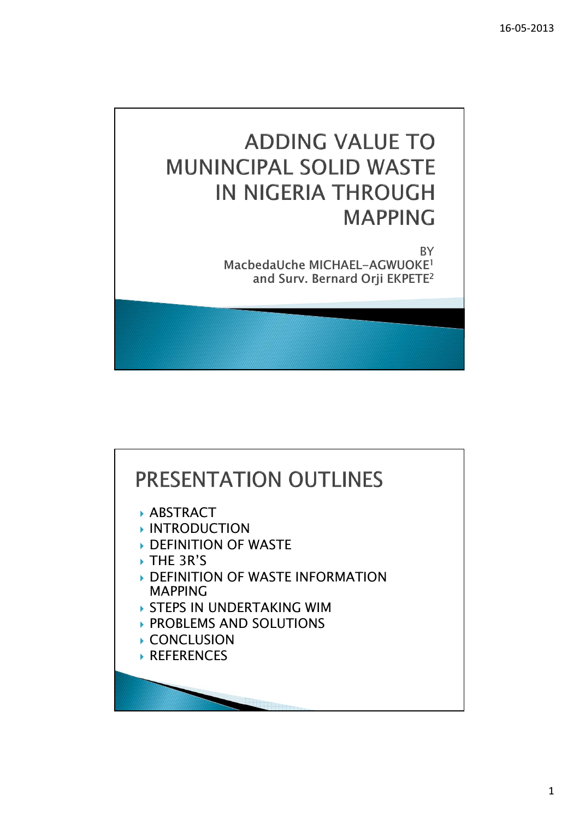

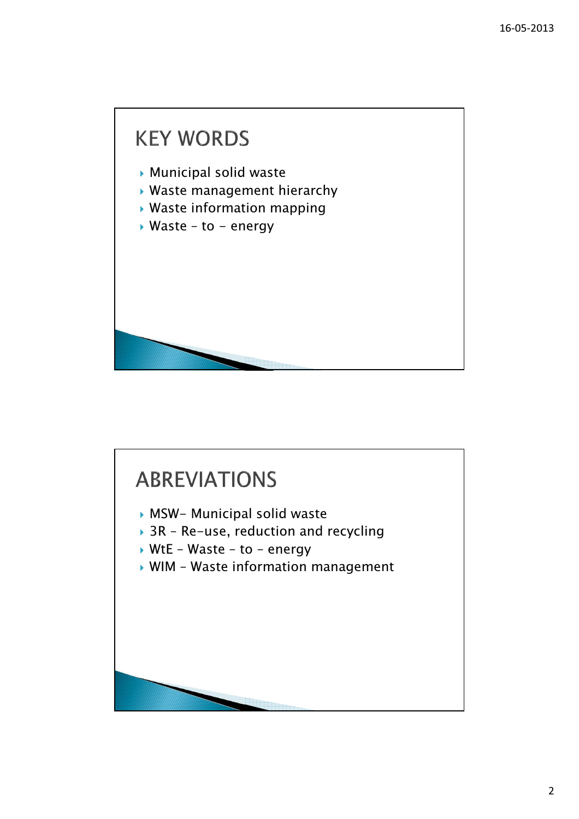

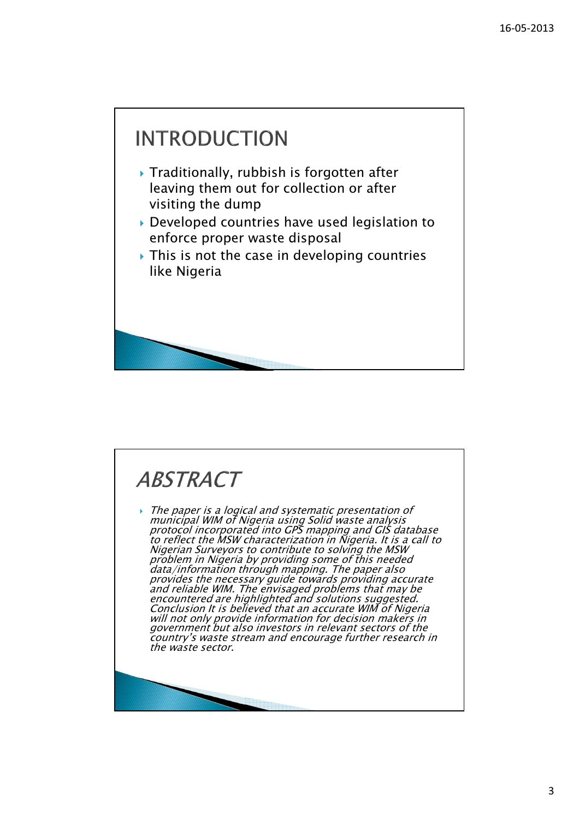## **INTRODUCTION**

- $\rightarrow$  Traditionally, rubbish is forgotten after leaving them out for collection or after visiting the dump
- Developed countries have used legislation to enforce proper waste disposal
- $\rightarrow$  This is not the case in developing countries like Nigeria

## **ABSTRACT**  The paper is a logical and systematic presentation of municipal WIM of Nigeria using Solid waste analysis protocol incorporated into GPS mapping and GIS database to reflect the MSW characterization in Nigeria. It is a call to Nigerian Surveyors to contribute to solving the MSW problem in Nigeria by providing some of this needed data/information through mapping. The paper also provides the necessary guide towards providing accurate and reliable WIM. The envisaged problems that may be encountered are highlighted and solutions suggested. Conclusion It is believed that an accurate WIM of Nigeria will not only provide information for decision makers in government but also investors in relevant sectors of the country's waste stream and encourage further research in the waste sector.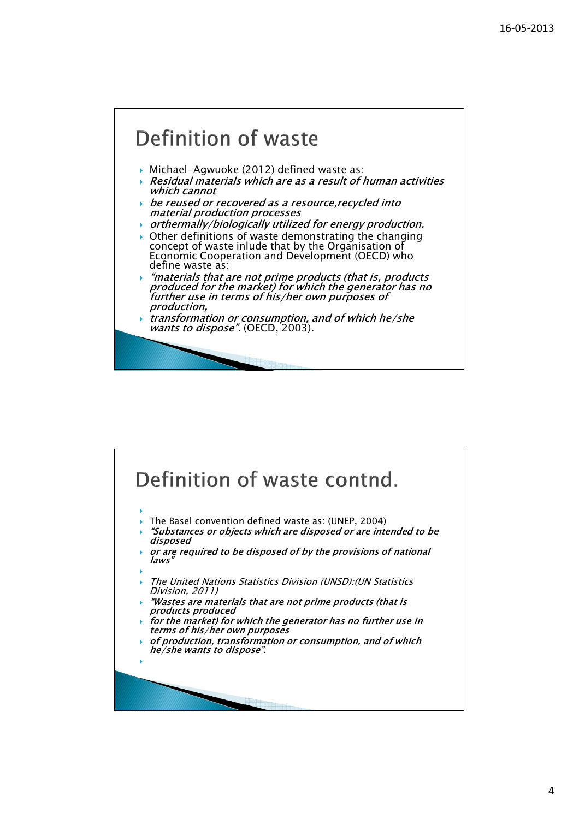## **Definition of waste**

- *Michael-Agwuoke (2012) defined waste as:*
- Residual materials which are as a result of human activities which cannot
- be reused or recovered as a resource,recycled into material production processes
- orthermally/biologically utilized for energy production.
- *Other definitions of waste demonstrating the changing concept of waste inlude that by the Organisation of Economic Cooperation and Development (OECD) who define waste as:*
- "materials that are not prime products (that is, products produced for the market) for which the generator has no further use in terms of his/her own purposes of production,
- $\rightarrow$  transformation or consumption, and of which he/she wants to dispose". *(OECD, 2003).*

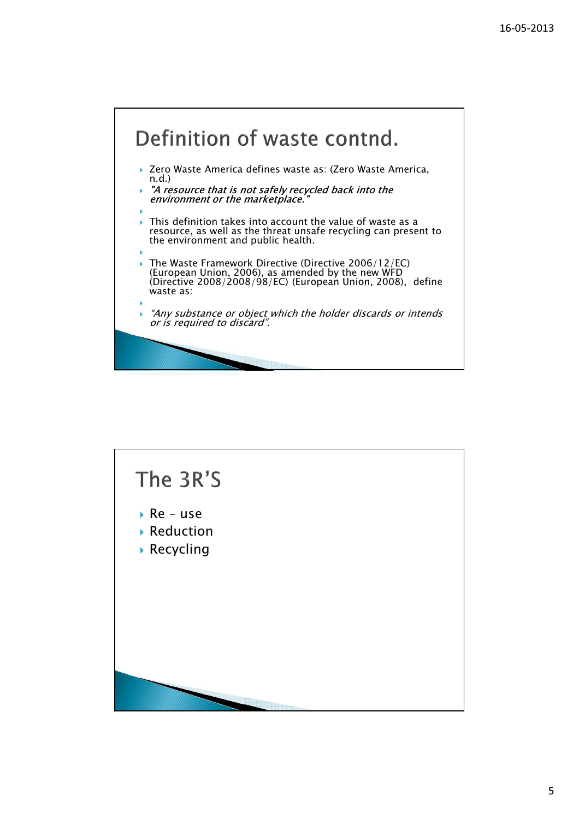

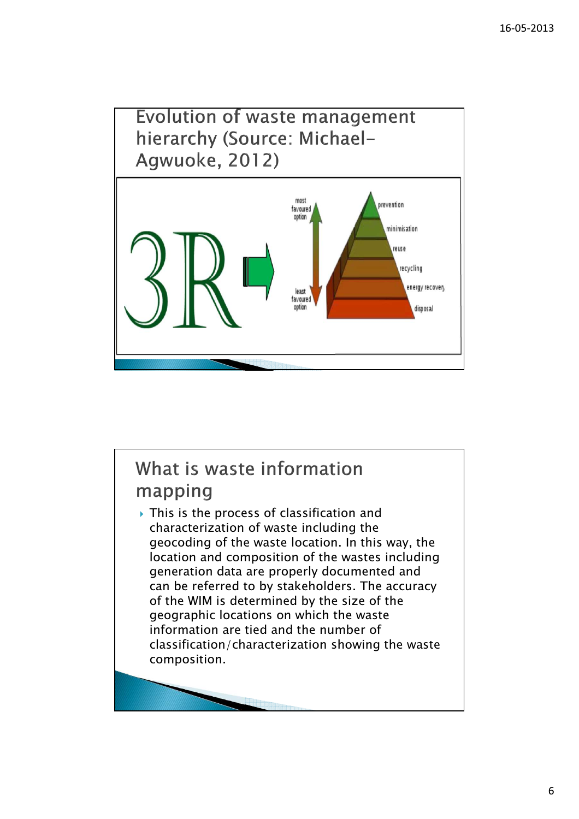

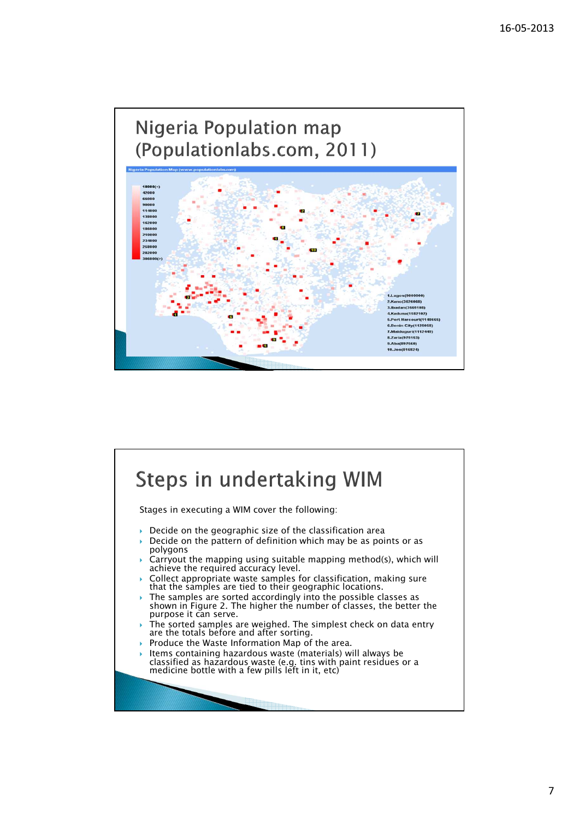

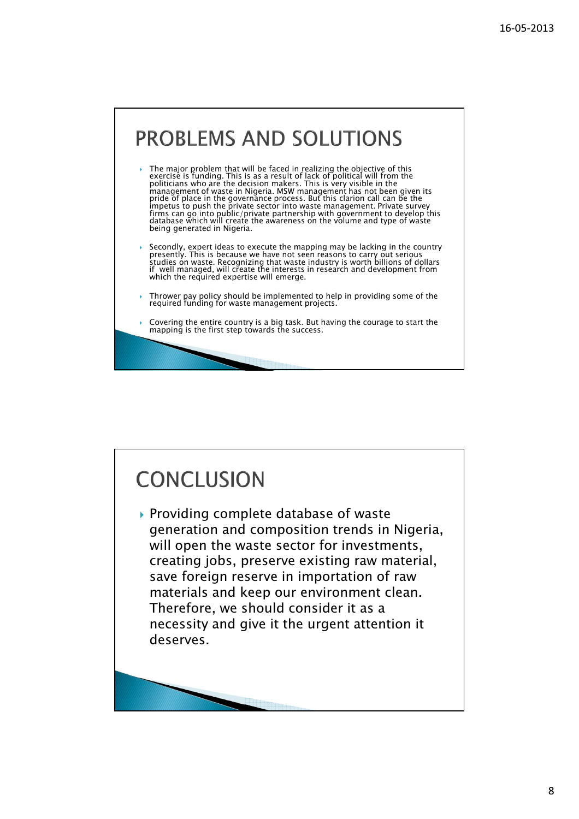